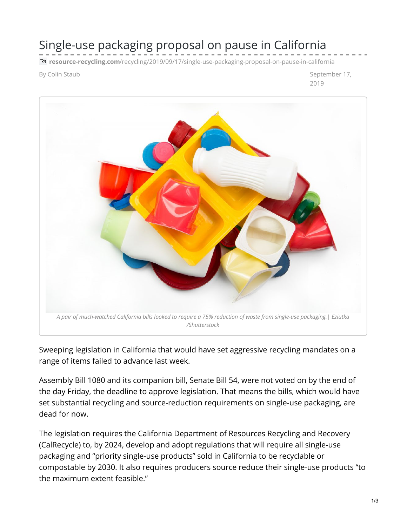## Single-use packaging proposal on pause in California

**resource-recycling.com**[/recycling/2019/09/17/single-use-packaging-proposal-on-pause-in-california](https://resource-recycling.com/recycling/2019/09/17/single-use-packaging-proposal-on-pause-in-california/)

By Colin Staub September 17, 2019



Sweeping legislation in California that would have set aggressive recycling mandates on a range of items failed to advance last week.

Assembly Bill 1080 and its companion bill, Senate Bill 54, were not voted on by the end of the day Friday, the deadline to approve legislation. That means the bills, which would have set substantial recycling and source-reduction requirements on single-use packaging, are dead for now.

The [legislation](https://leginfo.legislature.ca.gov/faces/billTextClient.xhtml?bill_id=201920200AB1080) requires the California Department of Resources Recycling and Recovery (CalRecycle) to, by 2024, develop and adopt regulations that will require all single-use packaging and "priority single-use products" sold in California to be recyclable or compostable by 2030. It also requires producers source reduce their single-use products "to the maximum extent feasible."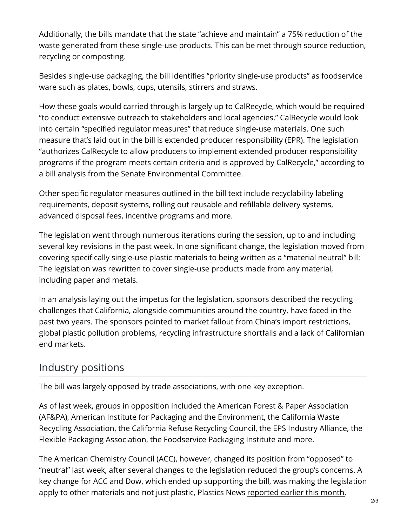Additionally, the bills mandate that the state "achieve and maintain" a 75% reduction of the waste generated from these single-use products. This can be met through source reduction, recycling or composting.

Besides single-use packaging, the bill identifies "priority single-use products" as foodservice ware such as plates, bowls, cups, utensils, stirrers and straws.

How these goals would carried through is largely up to CalRecycle, which would be required "to conduct extensive outreach to stakeholders and local agencies." CalRecycle would look into certain "specified regulator measures" that reduce single-use materials. One such measure that's laid out in the bill is extended producer responsibility (EPR). The legislation "authorizes CalRecycle to allow producers to implement extended producer responsibility programs if the program meets certain criteria and is approved by CalRecycle," according to a bill analysis from the Senate Environmental Committee.

Other specific regulator measures outlined in the bill text include recyclability labeling requirements, deposit systems, rolling out reusable and refillable delivery systems, advanced disposal fees, incentive programs and more.

The legislation went through numerous iterations during the session, up to and including several key revisions in the past week. In one significant change, the legislation moved from covering specifically single-use plastic materials to being written as a "material neutral" bill: The legislation was rewritten to cover single-use products made from any material, including paper and metals.

In an analysis laying out the impetus for the legislation, sponsors described the recycling challenges that California, alongside communities around the country, have faced in the past two years. The sponsors pointed to market fallout from China's import restrictions, global plastic pollution problems, recycling infrastructure shortfalls and a lack of Californian end markets.

## Industry positions

The bill was largely opposed by trade associations, with one key exception.

As of last week, groups in opposition included the American Forest & Paper Association (AF&PA), American Institute for Packaging and the Environment, the California Waste Recycling Association, the California Refuse Recycling Council, the EPS Industry Alliance, the Flexible Packaging Association, the Foodservice Packaging Institute and more.

The American Chemistry Council (ACC), however, changed its position from "opposed" to "neutral" last week, after several changes to the legislation reduced the group's concerns. A key change for ACC and Dow, which ended up supporting the bill, was making the legislation apply to other materials and not just plastic, Plastics News [reported](https://www.plasticsnews.com/news/california-softens-plastics-bill-acc-now-neutral-others-industry-still-oppose?utm_source=pn-sustainability-report&utm_medium=email&utm_campaign=20190912&utm_content=article1-headline) earlier this month.